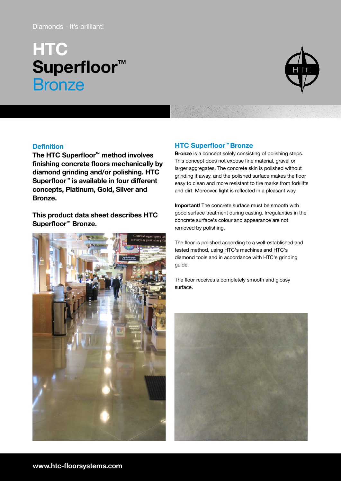# Diamonds - It's brilliant!

# **HTC** Superfloor<sup>™</sup> **Bronze**



# **Definition**

The HTC Superfloor™ method involves finishing concrete floors mechanically by diamond grinding and/or polishing. HTC Superfloor™ is available in four different concepts, Platinum, Gold, Silver and Bronze.

This product data sheet describes HTC Superfloor™ Bronze.



# HTC Superfloor™ Bronze

Bronze is a concept solely consisting of polishing steps. This concept does not expose fine material, gravel or larger aggregates. The concrete skin is polished without grinding it away, and the polished surface makes the floor easy to clean and more resistant to tire marks from forklifts and dirt. Moreover, light is reflected in a pleasant way.

Important! The concrete surface must be smooth with good surface treatment during casting. Irregularities in the concrete surface's colour and appearance are not removed by polishing.

The floor is polished according to a well-established and tested method, using HTC's machines and HTC's diamond tools and in accordance with HTC's grinding guide.

The floor receives a completely smooth and glossy surface.

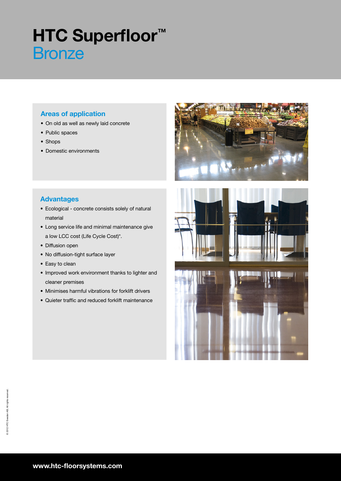# **HTC Superfloor™ Bronze**

# Areas of application

- On old as well as newly laid concrete
- Public spaces
- Shops
- Domestic environments

# Advantages

- Ecological concrete consists solely of natural material
- Long service life and minimal maintenance give a low LCC cost (Life Cycle Cost)\*.
- Diffusion open
- No diffusion-tight surface layer
- Easy to clean
- Improved work environment thanks to lighter and cleaner premises
- Minimises harmful vibrations for forklift drivers
- Quieter traffic and reduced forklift maintenance



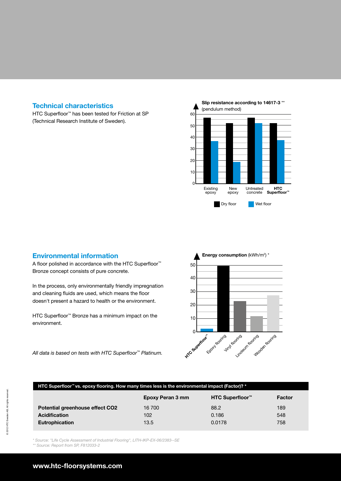### Technical characteristics

HTC Superfloor<sup>™</sup> has been tested for Friction at SP (Technical Research Institute of Sweden).



#### Environmental information

A floor polished in accordance with the HTC Superfloor<sup>™</sup> Bronze concept consists of pure concrete.

In the process, only environmentally friendly impregnation and cleaning fluids are used, which means the floor doesn't present a hazard to health or the environment.

HTC Superfloor<sup>™</sup> Bronze has a minimum impact on the environment.





| HTC Superfloor™vs. epoxy flooring. How many times less is the environmental impact (Factor)? * |                  |                             |        |
|------------------------------------------------------------------------------------------------|------------------|-----------------------------|--------|
|                                                                                                | Epoxy Peran 3 mm | HTC Superfloor <sup>™</sup> | Factor |
| Potential greenhouse effect CO2                                                                | 16 700           | 88.2                        | 189    |
| <b>Acidification</b>                                                                           | 102              | 0.186                       | 548    |
| <b>Eutrophication</b>                                                                          | 13.5             | 0.0178                      | 758    |

\* Source: "Life Cycle Assessment of Industrial Flooring", LITH-IKP-EX-06/2383--SE

\*\* Source: Report from SP, F812033-2